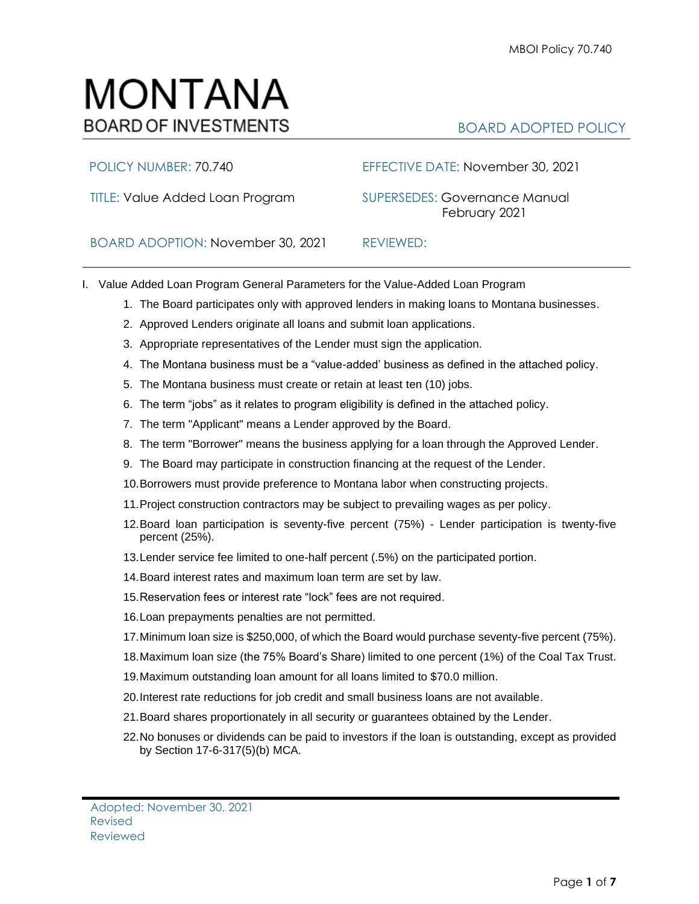# MONTANA **BOARD OF INVESTMENTS**

## BOARD ADOPTED POLICY

### POLICY NUMBER: 70.740 EFFECTIVE DATE: November 30, 2021

TITLE: Value Added Loan Program SUPERSEDES: Governance Manual February 2021

BOARD ADOPTION: November 30, 2021REVIEWED:

- I. Value Added Loan Program General Parameters for the Value-Added Loan Program
	- 1. The Board participates only with approved lenders in making loans to Montana businesses.
	- 2. Approved Lenders originate all loans and submit loan applications.
	- 3. Appropriate representatives of the Lender must sign the application.
	- 4. The Montana business must be a "value-added' business as defined in the attached policy.
	- 5. The Montana business must create or retain at least ten (10) jobs.
	- 6. The term "jobs" as it relates to program eligibility is defined in the attached policy.
	- 7. The term "Applicant" means a Lender approved by the Board.
	- 8. The term "Borrower" means the business applying for a loan through the Approved Lender.
	- 9. The Board may participate in construction financing at the request of the Lender.
	- 10.Borrowers must provide preference to Montana labor when constructing projects.
	- 11.Project construction contractors may be subject to prevailing wages as per policy.
	- 12.Board loan participation is seventy-five percent (75%) Lender participation is twenty-five percent (25%).
	- 13.Lender service fee limited to one-half percent (.5%) on the participated portion.
	- 14.Board interest rates and maximum loan term are set by law.
	- 15.Reservation fees or interest rate "lock" fees are not required.
	- 16.Loan prepayments penalties are not permitted.
	- 17.Minimum loan size is \$250,000, of which the Board would purchase seventy-five percent (75%).
	- 18.Maximum loan size (the 75% Board's Share) limited to one percent (1%) of the Coal Tax Trust.
	- 19.Maximum outstanding loan amount for all loans limited to \$70.0 million.
	- 20.Interest rate reductions for job credit and small business loans are not available.
	- 21.Board shares proportionately in all security or guarantees obtained by the Lender.
	- 22.No bonuses or dividends can be paid to investors if the loan is outstanding, except as provided by Section 17-6-317(5)(b) MCA.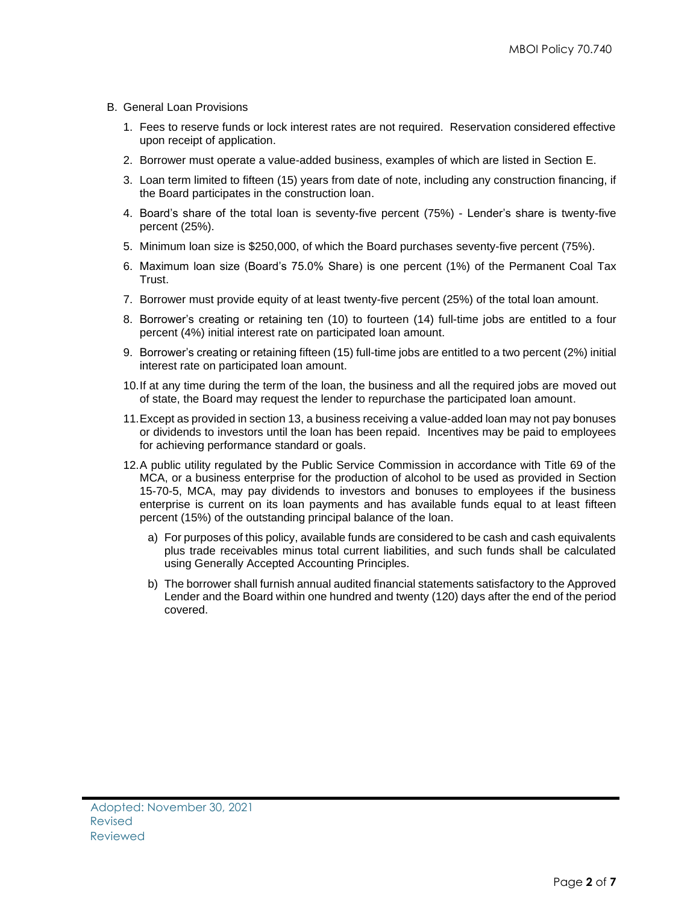- B. General Loan Provisions
	- 1. Fees to reserve funds or lock interest rates are not required. Reservation considered effective upon receipt of application.
	- 2. Borrower must operate a value-added business, examples of which are listed in Section E.
	- 3. Loan term limited to fifteen (15) years from date of note, including any construction financing, if the Board participates in the construction loan.
	- 4. Board's share of the total loan is seventy-five percent (75%) Lender's share is twenty-five percent (25%).
	- 5. Minimum loan size is \$250,000, of which the Board purchases seventy-five percent (75%).
	- 6. Maximum loan size (Board's 75.0% Share) is one percent (1%) of the Permanent Coal Tax Trust.
	- 7. Borrower must provide equity of at least twenty-five percent (25%) of the total loan amount.
	- 8. Borrower's creating or retaining ten (10) to fourteen (14) full-time jobs are entitled to a four percent (4%) initial interest rate on participated loan amount.
	- 9. Borrower's creating or retaining fifteen (15) full-time jobs are entitled to a two percent (2%) initial interest rate on participated loan amount.
	- 10.If at any time during the term of the loan, the business and all the required jobs are moved out of state, the Board may request the lender to repurchase the participated loan amount.
	- 11.Except as provided in section 13, a business receiving a value-added loan may not pay bonuses or dividends to investors until the loan has been repaid. Incentives may be paid to employees for achieving performance standard or goals.
	- 12.A public utility regulated by the Public Service Commission in accordance with Title 69 of the MCA, or a business enterprise for the production of alcohol to be used as provided in Section 15-70-5, MCA, may pay dividends to investors and bonuses to employees if the business enterprise is current on its loan payments and has available funds equal to at least fifteen percent (15%) of the outstanding principal balance of the loan.
		- a) For purposes of this policy, available funds are considered to be cash and cash equivalents plus trade receivables minus total current liabilities, and such funds shall be calculated using Generally Accepted Accounting Principles.
		- b) The borrower shall furnish annual audited financial statements satisfactory to the Approved Lender and the Board within one hundred and twenty (120) days after the end of the period covered.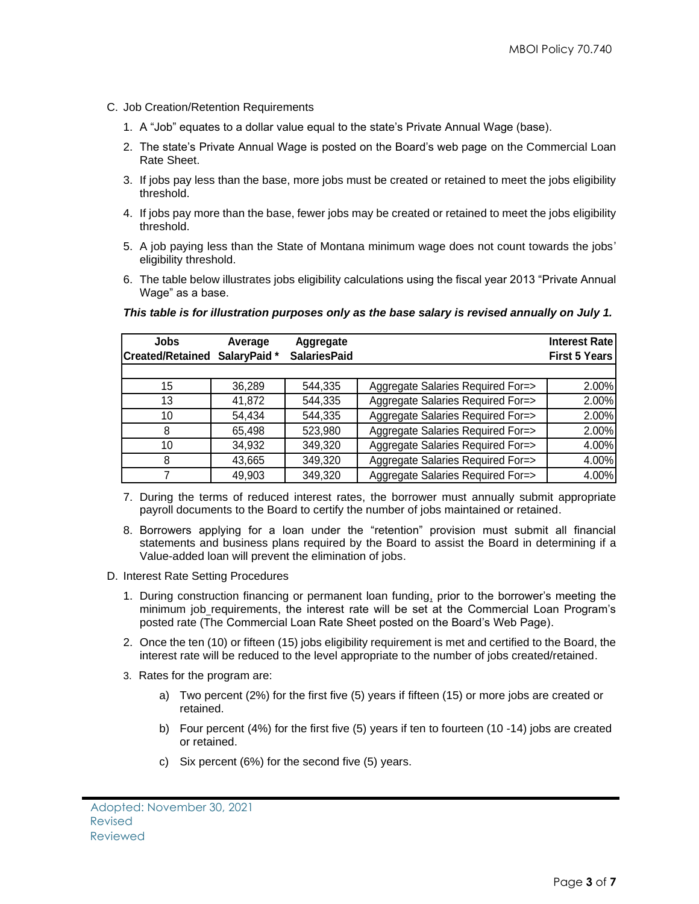- C. Job Creation/Retention Requirements
	- 1. A "Job" equates to a dollar value equal to the state's Private Annual Wage (base).
	- 2. The state's Private Annual Wage is posted on the Board's web page on the Commercial Loan Rate Sheet.
	- 3. If jobs pay less than the base, more jobs must be created or retained to meet the jobs eligibility threshold.
	- 4. If jobs pay more than the base, fewer jobs may be created or retained to meet the jobs eligibility threshold.
	- 5. A job paying less than the State of Montana minimum wage does not count towards the jobs' eligibility threshold.
	- 6. The table below illustrates jobs eligibility calculations using the fiscal year 2013 "Private Annual Wage" as a base.

| Jobs<br><b>Created/Retained</b> | Average<br>SalaryPaid * | Aggregate<br><b>SalariesPaid</b> |                                   | <b>Interest Ratel</b><br><b>First 5 Years</b> |
|---------------------------------|-------------------------|----------------------------------|-----------------------------------|-----------------------------------------------|
|                                 |                         |                                  |                                   |                                               |
| 15                              | 36,289                  | 544,335                          | Aggregate Salaries Required For=> | 2.00%                                         |
| 13                              | 41,872                  | 544,335                          | Aggregate Salaries Required For=> | 2.00%                                         |
| 10                              | 54,434                  | 544,335                          | Aggregate Salaries Required For=> | 2.00%                                         |
| 8                               | 65,498                  | 523,980                          | Aggregate Salaries Required For=> | 2.00%                                         |
| 10                              | 34,932                  | 349,320                          | Aggregate Salaries Required For=> | 4.00%                                         |
| 8                               | 43,665                  | 349,320                          | Aggregate Salaries Required For=> | 4.00%                                         |
|                                 | 49,903                  | 349,320                          | Aggregate Salaries Required For=> | 4.00%                                         |

### *This table is for illustration purposes only as the base salary is revised annually on July 1.*

- 7. During the terms of reduced interest rates, the borrower must annually submit appropriate payroll documents to the Board to certify the number of jobs maintained or retained.
- 8. Borrowers applying for a loan under the "retention" provision must submit all financial statements and business plans required by the Board to assist the Board in determining if a Value-added loan will prevent the elimination of jobs.
- D. Interest Rate Setting Procedures
	- 1. During construction financing or permanent loan funding, prior to the borrower's meeting the minimum job requirements, the interest rate will be set at the Commercial Loan Program's posted rate (The Commercial Loan Rate Sheet posted on the Board's Web Page).
	- 2. Once the ten (10) or fifteen (15) jobs eligibility requirement is met and certified to the Board, the interest rate will be reduced to the level appropriate to the number of jobs created/retained.
	- 3. Rates for the program are:
		- a) Two percent (2%) for the first five (5) years if fifteen (15) or more jobs are created or retained.
		- b) Four percent (4%) for the first five (5) years if ten to fourteen (10 -14) jobs are created or retained.
		- c) Six percent (6%) for the second five (5) years.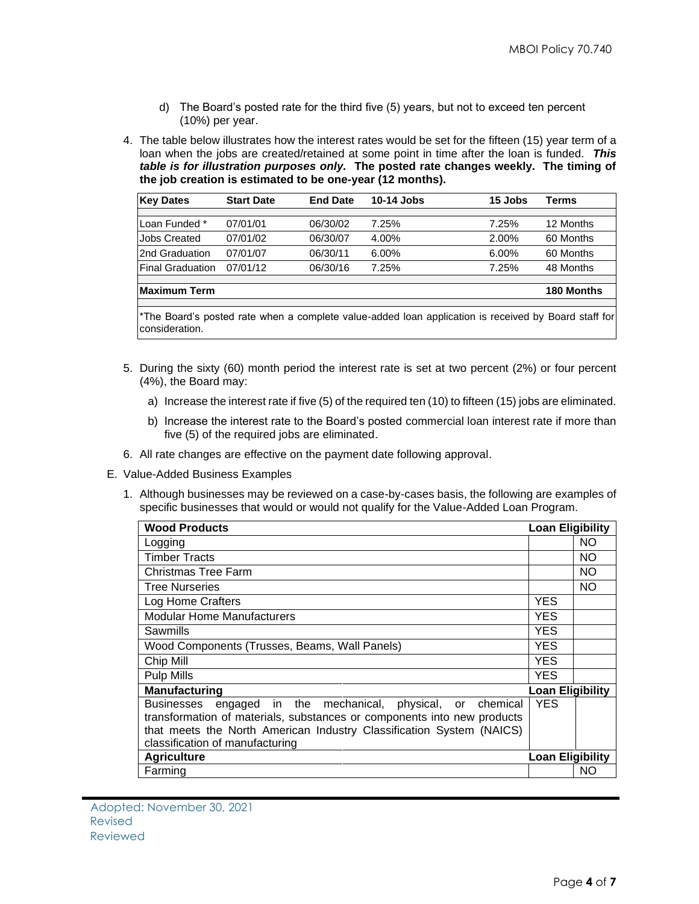- d) The Board's posted rate for the third five (5) years, but not to exceed ten percent (10%) per year.
- 4. The table below illustrates how the interest rates would be set for the fifteen (15) year term of a loan when the jobs are created/retained at some point in time after the loan is funded. *This table is for illustration purposes only.* **The posted rate changes weekly. The timing of the job creation is estimated to be one-year (12 months).**

| <b>Key Dates</b>        | <b>Start Date</b> | <b>End Date</b> | 10-14 Jobs | 15 Jobs  | Terms      |
|-------------------------|-------------------|-----------------|------------|----------|------------|
|                         |                   |                 |            |          |            |
| Loan Funded *           | 07/01/01          | 06/30/02        | 7.25%      | 7.25%    | 12 Months  |
| <b>Jobs Created</b>     | 07/01/02          | 06/30/07        | 4.00%      | 2.00%    | 60 Months  |
| 2nd Graduation          | 07/01/07          | 06/30/11        | 6.00%      | $6.00\%$ | 60 Months  |
| <b>Final Graduation</b> | 07/01/12          | 06/30/16        | 7.25%      | 7.25%    | 48 Months  |
|                         |                   |                 |            |          |            |
| <b>Maximum Term</b>     |                   |                 |            |          | 180 Months |

\*The Board's posted rate when a complete value-added loan application is received by Board staff for consideration.

- 5. During the sixty (60) month period the interest rate is set at two percent (2%) or four percent (4%), the Board may:
	- a) Increase the interest rate if five (5) of the required ten (10) to fifteen (15) jobs are eliminated.
	- b) Increase the interest rate to the Board's posted commercial loan interest rate if more than five (5) of the required jobs are eliminated.
- 6. All rate changes are effective on the payment date following approval.
- E. Value-Added Business Examples
	- 1. Although businesses may be reviewed on a case-by-cases basis, the following are examples of specific businesses that would or would not qualify for the Value-Added Loan Program.

| <b>Wood Products</b>                                                    | <b>Loan Eligibility</b> |           |
|-------------------------------------------------------------------------|-------------------------|-----------|
| Logging                                                                 |                         | NO.       |
| <b>Timber Tracts</b>                                                    |                         | NO.       |
| <b>Christmas Tree Farm</b>                                              |                         | <b>NO</b> |
| <b>Tree Nurseries</b>                                                   |                         | <b>NO</b> |
| Log Home Crafters                                                       | <b>YES</b>              |           |
| <b>Modular Home Manufacturers</b>                                       | <b>YES</b>              |           |
| Sawmills                                                                | <b>YES</b>              |           |
| Wood Components (Trusses, Beams, Wall Panels)                           | <b>YES</b>              |           |
| Chip Mill                                                               | <b>YES</b>              |           |
| <b>Pulp Mills</b>                                                       | <b>YES</b>              |           |
| <b>Manufacturing</b>                                                    | <b>Loan Eligibility</b> |           |
| Businesses engaged in the mechanical, physical, or chemical             | <b>YES</b>              |           |
| transformation of materials, substances or components into new products |                         |           |
| that meets the North American Industry Classification System (NAICS)    |                         |           |
| classification of manufacturing                                         |                         |           |
| <b>Agriculture</b>                                                      | <b>Loan Eligibility</b> |           |
| Farming                                                                 |                         | NO.       |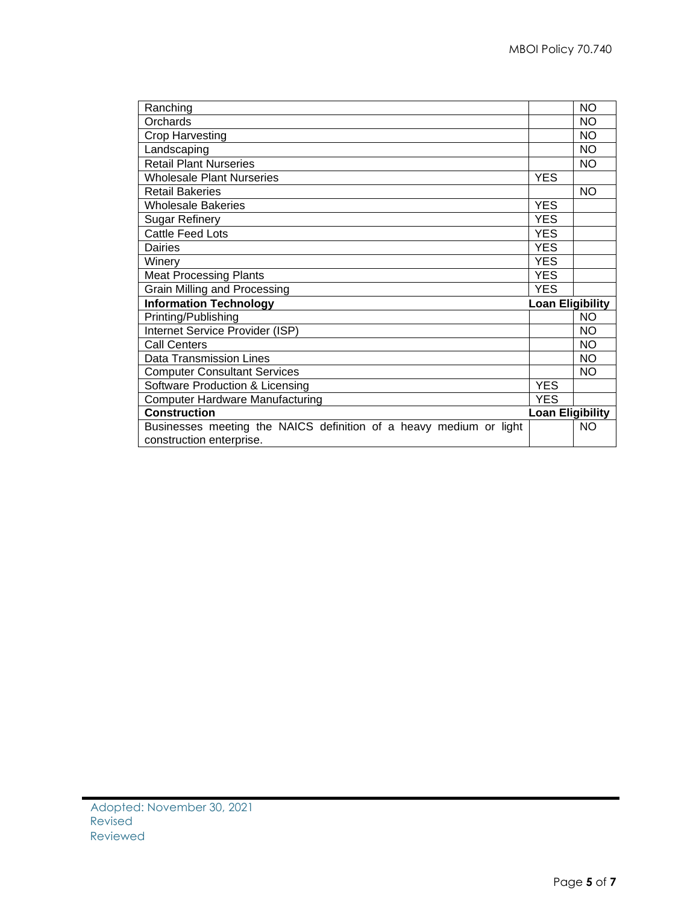| Ranching                                                           |                         | <b>NO</b>               |
|--------------------------------------------------------------------|-------------------------|-------------------------|
| Orchards                                                           |                         | <b>NO</b>               |
| <b>Crop Harvesting</b>                                             |                         | <b>NO</b>               |
| Landscaping                                                        |                         | <b>NO</b>               |
| <b>Retail Plant Nurseries</b>                                      |                         | NO                      |
| <b>Wholesale Plant Nurseries</b>                                   | <b>YES</b>              |                         |
| <b>Retail Bakeries</b>                                             |                         | <b>NO</b>               |
| <b>Wholesale Bakeries</b>                                          | <b>YES</b>              |                         |
| <b>Sugar Refinery</b>                                              | <b>YES</b>              |                         |
| <b>Cattle Feed Lots</b>                                            | <b>YES</b>              |                         |
| <b>Dairies</b>                                                     | <b>YES</b>              |                         |
| Winery                                                             | <b>YES</b>              |                         |
| <b>Meat Processing Plants</b>                                      | <b>YES</b>              |                         |
| Grain Milling and Processing                                       | <b>YES</b>              |                         |
| <b>Information Technology</b>                                      | <b>Loan Eligibility</b> |                         |
| Printing/Publishing                                                |                         | <b>NO</b>               |
| Internet Service Provider (ISP)                                    |                         | NO                      |
| <b>Call Centers</b>                                                |                         | <b>NO</b>               |
| <b>Data Transmission Lines</b>                                     |                         | NO                      |
| <b>Computer Consultant Services</b>                                |                         | NO.                     |
| Software Production & Licensing                                    | <b>YES</b>              |                         |
| <b>Computer Hardware Manufacturing</b>                             | <b>YES</b>              |                         |
| <b>Construction</b>                                                |                         | <b>Loan Eligibility</b> |
| Businesses meeting the NAICS definition of a heavy medium or light |                         | <b>NO</b>               |
| construction enterprise.                                           |                         |                         |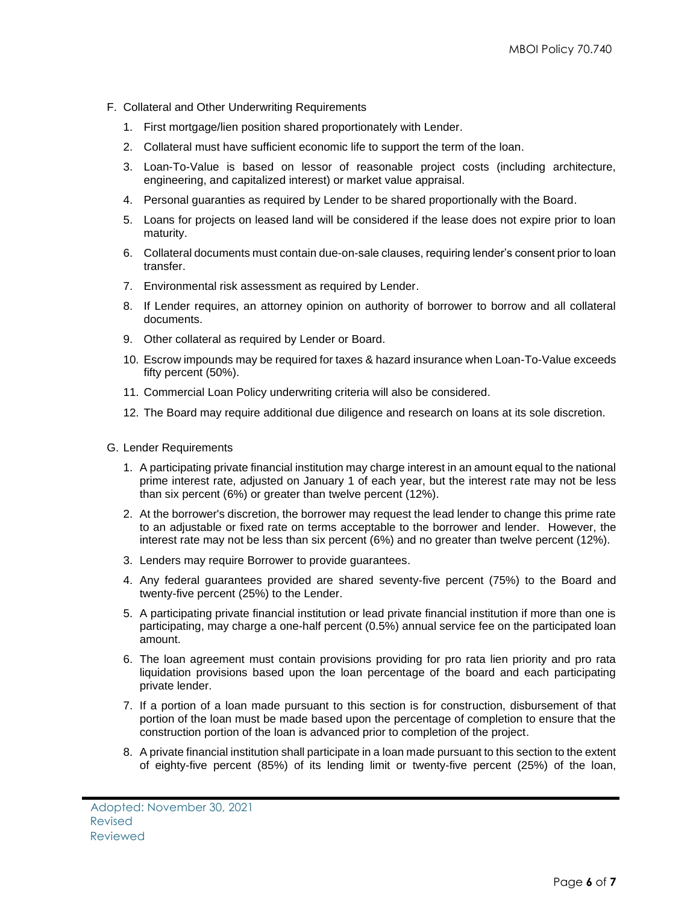- F. Collateral and Other Underwriting Requirements
	- 1. First mortgage/lien position shared proportionately with Lender.
	- 2. Collateral must have sufficient economic life to support the term of the loan.
	- 3. Loan-To-Value is based on lessor of reasonable project costs (including architecture, engineering, and capitalized interest) or market value appraisal.
	- 4. Personal guaranties as required by Lender to be shared proportionally with the Board.
	- 5. Loans for projects on leased land will be considered if the lease does not expire prior to loan maturity.
	- 6. Collateral documents must contain due-on-sale clauses, requiring lender's consent prior to loan transfer.
	- 7. Environmental risk assessment as required by Lender.
	- 8. If Lender requires, an attorney opinion on authority of borrower to borrow and all collateral documents.
	- 9. Other collateral as required by Lender or Board.
	- 10. Escrow impounds may be required for taxes & hazard insurance when Loan-To-Value exceeds fifty percent (50%).
	- 11. Commercial Loan Policy underwriting criteria will also be considered.
	- 12. The Board may require additional due diligence and research on loans at its sole discretion.
- G. Lender Requirements
	- 1. A participating private financial institution may charge interest in an amount equal to the national prime interest rate, adjusted on January 1 of each year, but the interest rate may not be less than six percent (6%) or greater than twelve percent (12%).
	- 2. At the borrower's discretion, the borrower may request the lead lender to change this prime rate to an adjustable or fixed rate on terms acceptable to the borrower and lender. However, the interest rate may not be less than six percent (6%) and no greater than twelve percent (12%).
	- 3. Lenders may require Borrower to provide guarantees.
	- 4. Any federal guarantees provided are shared seventy-five percent (75%) to the Board and twenty-five percent (25%) to the Lender.
	- 5. A participating private financial institution or lead private financial institution if more than one is participating, may charge a one-half percent (0.5%) annual service fee on the participated loan amount.
	- 6. The loan agreement must contain provisions providing for pro rata lien priority and pro rata liquidation provisions based upon the loan percentage of the board and each participating private lender.
	- 7. If a portion of a loan made pursuant to this section is for construction, disbursement of that portion of the loan must be made based upon the percentage of completion to ensure that the construction portion of the loan is advanced prior to completion of the project.
	- 8. A private financial institution shall participate in a loan made pursuant to this section to the extent of eighty-five percent (85%) of its lending limit or twenty-five percent (25%) of the loan,